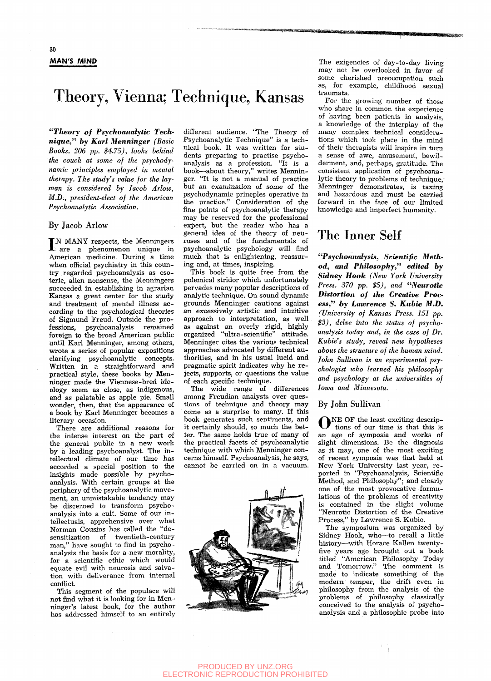# Theory, Vienna; Technique, Kansas

*"Theory of Psychoanalytic Tech' nique," by Karl Menninger (Basic Books. 206 pp. \$4.75), looks behind the couch at some of the psychodynamic principles employed in mental therapy. The study's value for the layman is considered by Jacob Arlow, M.D., president-elect of the American Psychoanalytic Association.* 

### By Jacob Arlow

IN MANY respects, the Menningers<br>are a phenomenon unique in : are a phenomenon unique in American medicine. During a time when official psychiatry in this country regarded psychoanalysis as esoteric, alien nonsense, the Menningers succeeded in establishing in agrarian Kansas a great center for the study and treatment of mental illness according to the psychological theories of Sigmund Freud. Outside the professions, psychoanalysis remained foreign to the broad American public until Karl Menninger, among others, wrote a series of popular expositions clarifying psychoanalytic concepts. Written in a straightforward and practical style, these books by Menninger made the Viennese-bred ideology seem as close, as indigenous, and as palatable as apple pie. Small wonder, then, that the appearance of a book by Karl Menninger becomes a literary occasion.

There are additional reasons for the intense interest on the part of the general public in a new work by a leading psychoanalyst. The intellectual climate of our time has accorded a special position to the insights made possible by psychoanalysis. With certain groups at the periphery of the psychoanalytic movement, an unmistakable tendency may be discerned to transform psychoanalysis into a cult. Some of our intellectuals, apprehensive over what Norman Cousins has called the "desensitization of twentieth-century man," have sought to find in psychoanalysis the basis for a new morality, for a scientific ethic which would equate evil with neurosis and salvation with deliverance from internal conflict.

This segment of the populace will not find what it is looking for in Menninger's latest book, for the author has addressed himself to an entirely

different audience. "The Theory of Psychoanalytic Technique" is a technical book. It was written for students preparing to practise psychoanalysis as a profession. "It is a book—about theory," writes Menninger. "It is not a manual of practice but an examination of some of the psychodynamic princples operative in the practice." Consideration of the fine points of psychoanalytic therapy may be reserved for the professional expert, but the reader who has a general idea of the theory of neuroses and of the fundamentals of psychoanalytic psychology will find much that is enlightening, reassuring and, at times, inspiring.

This book is quite free from the polemical stridor which unfortunately pervades many popular descriptions of analytic technique. On sound dynamic grounds Menninger cautions against an excessively artistic and intuitive approach to interpretation, as well as against an overly rigid, highly organized "ultra-scientific" attitude. Menninger cites the various technical approaches advocated by different authorities, and in his usual lucid and pragmatic spirit indicates why he rejects, supports, or questions the value of each specific technique.

The wide range of differences among Freudian analysts over questions of technique and theory may come as a surprise to many. If this book generates such sentiments, and it certainly should, so much the better. The same holds true of many of the practical facets of psychoanalytic technique with which Menninger concerns himself. Psychoanalysis, he says, cannot be carried on in a vacuum.



The exigencies of day-to-day living may not be overlooked in favor of some cherished preoccupation such as, for example, childhood sexual traumata.

For the growing number of those who share in common the experience of having been patients in analysis, a knowledge of the interplay of the many complex technical considerations which took place in the mind of their therapists will inspire in turn a sense of awe, amusement, bewilderment, and, perhaps, gratitude. The consistent application of psychoanalytic theory to problems of technique, Menninger demonstrates, is taxing and hazardous and must be carried forward in the face of our limited knowledge and imperfect humanity.

## The Inner Self

*^^Psychoanalysis, Scientific Method, and Philosophy," edited by Sidney Hook (New York University Press. 370 pp. \$5), and "Neurotic Distortion of the Creative Process," by Lawrence S. Kuhie M.D, (University of Kansas Press. 151 pp. \$3), delve into the status of psychoanalysis today and, in the case of Dr. Kubie's study, reveal new hypotheses about the structure of the human mind. John Sullivan is an experimental psychologist who learned his philosophy and psychology at the universities of Iowa and Minnesota.* 

### By John Sullivan

ONE OF the least exciting descrip-<br>tions of our time is that this is tions of our time is that this is an age of symposia and works of slight dimensions. Be the diagnosis as it may, one of the most exciting of recent symposia was that held at New York University last year, re ported in "Psychoanalysis, Scientific Method, and Philosophy"; and clearly one of the most provocative formulations of the problems of creativity is contained in the slight volume "Neurotic Distortion of the Creative Process," by Lawrence S. Kubie.

The symposium was organized by Sidney Hook, who—to recall a little history—with Horace Kallen twentyfive years ago brought out a book titled "American Philosophy Today and Tomorrow." The comment is made to indicate something of the modern temper, the drift even in philosophy from the analysis of the problems of philosophy classically conceived to the analysis of psychoanalysis and a philosophic probe into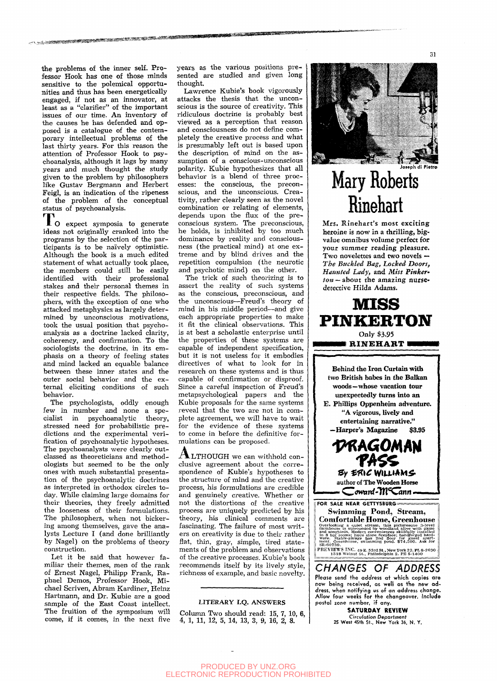the problems of the inner self. Professor Hook has one of those minds sensitive to the polemical opportunities and thus has been energetically engaged, if not as an innovator, at least as a "clarifier" of the important issues of our time. An inventory of the causes he has defended and opposed is a catalogue of the contemporary intellectual problems of the last thirty years. For this reason the attention of Professor Hook to psychoanalysis, although it lags by many years and much thought the study given to the problem by philosophers like Gustav Bergmann and Herbert Feigl, is an indication of the ripeness of the problem of the conceptual status of psychoanalysis.

**»SWW««»\*»MB«»^':»«WflS«»»«'«\* '** 

To expect symposia to generate ideas not originally cranked into the programs by the selection of the participants is to be naively optimistic. Although the book is a much edited statement of what actually took place, the members could still be easily identified with their professional stakes and their personal themes in their respective fields. The philosophers, with the exception of one who attacked metaphysics as largely determined by unconscious motivations, took the usual position that psychoanalysis as a doctrine lacked clarity, coherency, and confirmation. To the sociologists the doctrine, in its emphasis on a theory of feeling states and mind lacked an equable balance between these inner states and the outer social behavior and the external eliciting conditions of such behavior.

The psychologists, oddly enough few in number and none a specialist in psychoanalytic theory, cialist in psychoanalytic stressed need for probabilistic pre dictions and the experimental verification of psychoanalytic hypotheses. The psychoanalysts were clearly outclassed as theoreticians and methodologists but seemed to be the only ones with much substantial presentation of the psychoanalytic doctrines as interpreted in orthodox circles today. While claiming large domains for their theories, they freely admitted the looseness of their formulations. The philosophers, when not bickering among themselves, gave the analysts Lecture I (and done brilliantly by Nagel) on the problems of theory construction.

Let it be said that however familiar their themes, men of the rank of Ernest Nagel, Philipp Frank, Raphael Demos, Professor Hook, Michael Scriven, Abram Kardiner, Heinz Hartmann, and Dr. Kubie are a good sample of the East Coast intellect. The fruition of the symposium will come, if it comes, in the next five years as the various positions presented are studied and given long thought.

**^^^g?^^^^SCT^S\*^\*»\*** 

Lawrence Kubie's book vigorously attacks the thesis that the unconscious is the source of creativity. This ridiculous doctrine is probably best viewed as a perception that reason and consciousness do not define completely the creative process and what is presumably left out is based upon the description of mind on the assumption of a conscious-unconscious polarity. Kubie hypothesizes that all behavior is a blend of three processes: the conscious, the preconscious, and the unconscious. Creativity, rather clearly seen as the novel combination or relating of elements, depends upon the flux of the preconscious system. The preconscious, he holds, is inhibited by too much dominance by reality and consciousness (the practical mind) at one extreme and by blind drives and the repetition compulsion (the neurotic and psychotic mind) on the other.

The trick of such theorizing is to assert the reality of such systems as the conscious, preconscious, and the unconscious—Freud's theory of mind in his middle period—and give each appropriate properties to make it fit the clinical observations. This is at best a scholastic enterprise until the properties of these systems are capable of independent specification, but it is not useless for it embodies directives of what to look for in research on these systems and is thus capable of confirmation or disproof. Since a careful inspection of Freud's metapsychological papers and the Kubie proposals for the same systems reveal that the two are not in complete agreement, we will have to wait for the evidence of these systems to come in before the definitive formulations can be proposed.

**ALTHOUGH** we can withhold conclusive agreement about the correspondence of Kubie's hypotheses to the structure of mind and the creative process, his formulations are credible and genuinely creative. Whether or not the distortions of the creative process are uniquely predicted by his theory, his clinical comments are fascinating. The failure of most writers on creativity is due to their rather flat, thin, gray, simple, tired statements of the problem and observations of the creative processes. Kubie's book recommends itself by its lively style, richness of example, and basic novelty.

### LITERARY I.Q. ANSWERS

Column Two should read:  $15, 7, 10, 6$ , 4, 1, 11, 12, 5, 14, 13, 3, 9, 16, 2, 8.



31

# **Mary Roberts Rinehart**

Mrs. Rinehart's most exciting heroine is now in a thrilling, bigvalue omnibus volume perfect for your summer reading pleasure. Two novelettes and two novels — *The Buckled Bag, Locked Doors, Haunted Lady)* and *Miss Pinker-* $\textit{ton}$  – about the amazing nursedetective Hilda Adams.



two British babes in the Balkan woods—whose vacation tour unexpectedly turns into an E. Phillips Oppenheim adventure. "A vigorous, lively and entertaining narrative." —Harper's Magazine \$3.95

*V^AGOt\m* **TA\$S**   $B_Y$   $ERIC$  WILLIAMS author of The Wooden Horse **——«C<?winf-Tn''Canrt —.. .** 

FOR SALE NEAR GETTYSBURG = Swimming Pond, Stream, Comfortable Home, Greenhouse Overlooking a quiet stream, this picturesque 3-level farmhouse is surrounded by woodland alive with game and songbirds. Modern conveniences skillfully installed in S big rooms; huce stone fireplace; handforged hard-<br>in S b SH-607.3 9. PREVIEWS INC. 49 E. 53rd St., New York 22. PL 8-2630 1518 Walnut St., Philadelphia 2. PE 5-1400

CHANGES OF ADDRESS Please send the address at which copies are now being received, as well as the new address, when notifying us of an address change. Allow four weelcs for the changeover. Include postal zone number, if any.

**SATURDAY REVIEW**  Circulation Department<br>25 West 45th St., New York 36, N. Y.